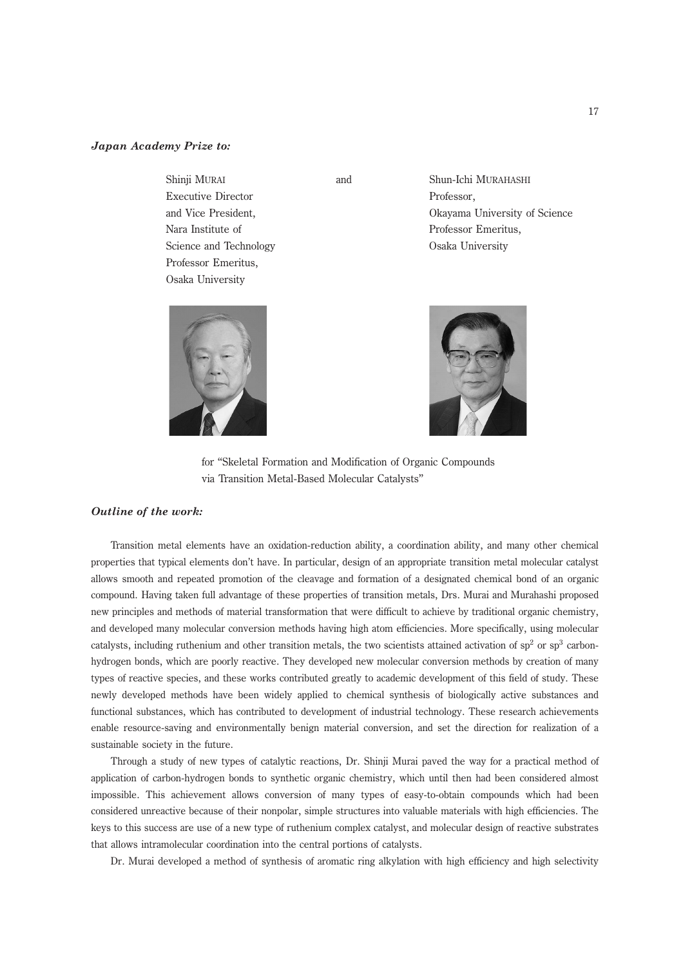## Japan Academy Prize to:

Shinji MURAI and Shun-Ichi MURAHASHI Executive Director Professor, Nara Institute of Professor Emeritus, Science and Technology **Osaka University** Professor Emeritus, Osaka University

and Vice President, Okayama University of Science





for ''Skeletal Formation and Modification of Organic Compounds via Transition Metal-Based Molecular Catalysts''

## Outline of the work:

Transition metal elements have an oxidation-reduction ability, a coordination ability, and many other chemical properties that typical elements don't have. In particular, design of an appropriate transition metal molecular catalyst allows smooth and repeated promotion of the cleavage and formation of a designated chemical bond of an organic compound. Having taken full advantage of these properties of transition metals, Drs. Murai and Murahashi proposed new principles and methods of material transformation that were difficult to achieve by traditional organic chemistry, and developed many molecular conversion methods having high atom efficiencies. More specifically, using molecular catalysts, including ruthenium and other transition metals, the two scientists attained activation of  $sp<sup>2</sup>$  or  $sp<sup>3</sup>$  carbonhydrogen bonds, which are poorly reactive. They developed new molecular conversion methods by creation of many types of reactive species, and these works contributed greatly to academic development of this field of study. These newly developed methods have been widely applied to chemical synthesis of biologically active substances and functional substances, which has contributed to development of industrial technology. These research achievements enable resource-saving and environmentally benign material conversion, and set the direction for realization of a sustainable society in the future.

Through a study of new types of catalytic reactions, Dr. Shinji Murai paved the way for a practical method of application of carbon-hydrogen bonds to synthetic organic chemistry, which until then had been considered almost impossible. This achievement allows conversion of many types of easy-to-obtain compounds which had been considered unreactive because of their nonpolar, simple structures into valuable materials with high efficiencies. The keys to this success are use of a new type of ruthenium complex catalyst, and molecular design of reactive substrates that allows intramolecular coordination into the central portions of catalysts.

Dr. Murai developed a method of synthesis of aromatic ring alkylation with high efficiency and high selectivity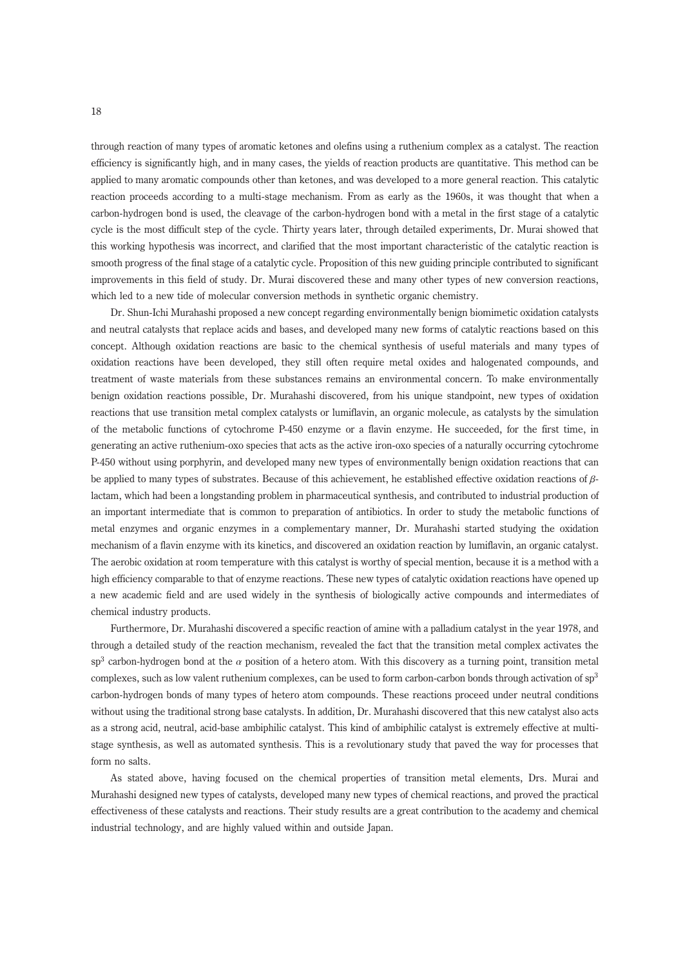through reaction of many types of aromatic ketones and olefins using a ruthenium complex as a catalyst. The reaction efficiency is significantly high, and in many cases, the yields of reaction products are quantitative. This method can be applied to many aromatic compounds other than ketones, and was developed to a more general reaction. This catalytic reaction proceeds according to a multi-stage mechanism. From as early as the 1960s, it was thought that when a carbon-hydrogen bond is used, the cleavage of the carbon-hydrogen bond with a metal in the first stage of a catalytic cycle is the most difficult step of the cycle. Thirty years later, through detailed experiments, Dr. Murai showed that this working hypothesis was incorrect, and clarified that the most important characteristic of the catalytic reaction is smooth progress of the final stage of a catalytic cycle. Proposition of this new guiding principle contributed to significant improvements in this field of study. Dr. Murai discovered these and many other types of new conversion reactions, which led to a new tide of molecular conversion methods in synthetic organic chemistry.

Dr. Shun-Ichi Murahashi proposed a new concept regarding environmentally benign biomimetic oxidation catalysts and neutral catalysts that replace acids and bases, and developed many new forms of catalytic reactions based on this concept. Although oxidation reactions are basic to the chemical synthesis of useful materials and many types of oxidation reactions have been developed, they still often require metal oxides and halogenated compounds, and treatment of waste materials from these substances remains an environmental concern. To make environmentally benign oxidation reactions possible, Dr. Murahashi discovered, from his unique standpoint, new types of oxidation reactions that use transition metal complex catalysts or lumiflavin, an organic molecule, as catalysts by the simulation of the metabolic functions of cytochrome P-450 enzyme or a flavin enzyme. He succeeded, for the first time, in generating an active ruthenium-oxo species that acts as the active iron-oxo species of a naturally occurring cytochrome P-450 without using porphyrin, and developed many new types of environmentally benign oxidation reactions that can be applied to many types of substrates. Because of this achievement, he established effective oxidation reactions of βlactam, which had been a longstanding problem in pharmaceutical synthesis, and contributed to industrial production of an important intermediate that is common to preparation of antibiotics. In order to study the metabolic functions of metal enzymes and organic enzymes in a complementary manner, Dr. Murahashi started studying the oxidation mechanism of a flavin enzyme with its kinetics, and discovered an oxidation reaction by lumiflavin, an organic catalyst. The aerobic oxidation at room temperature with this catalyst is worthy of special mention, because it is a method with a high efficiency comparable to that of enzyme reactions. These new types of catalytic oxidation reactions have opened up a new academic field and are used widely in the synthesis of biologically active compounds and intermediates of chemical industry products.

Furthermore, Dr. Murahashi discovered a specific reaction of amine with a palladium catalyst in the year 1978, and through a detailed study of the reaction mechanism, revealed the fact that the transition metal complex activates the sp<sup>3</sup> carbon-hydrogen bond at the  $\alpha$  position of a hetero atom. With this discovery as a turning point, transition metal complexes, such as low valent ruthenium complexes, can be used to form carbon-carbon bonds through activation of  $sp<sup>3</sup>$ carbon-hydrogen bonds of many types of hetero atom compounds. These reactions proceed under neutral conditions without using the traditional strong base catalysts. In addition, Dr. Murahashi discovered that this new catalyst also acts as a strong acid, neutral, acid-base ambiphilic catalyst. This kind of ambiphilic catalyst is extremely effective at multistage synthesis, as well as automated synthesis. This is a revolutionary study that paved the way for processes that form no salts.

As stated above, having focused on the chemical properties of transition metal elements, Drs. Murai and Murahashi designed new types of catalysts, developed many new types of chemical reactions, and proved the practical effectiveness of these catalysts and reactions. Their study results are a great contribution to the academy and chemical industrial technology, and are highly valued within and outside Japan.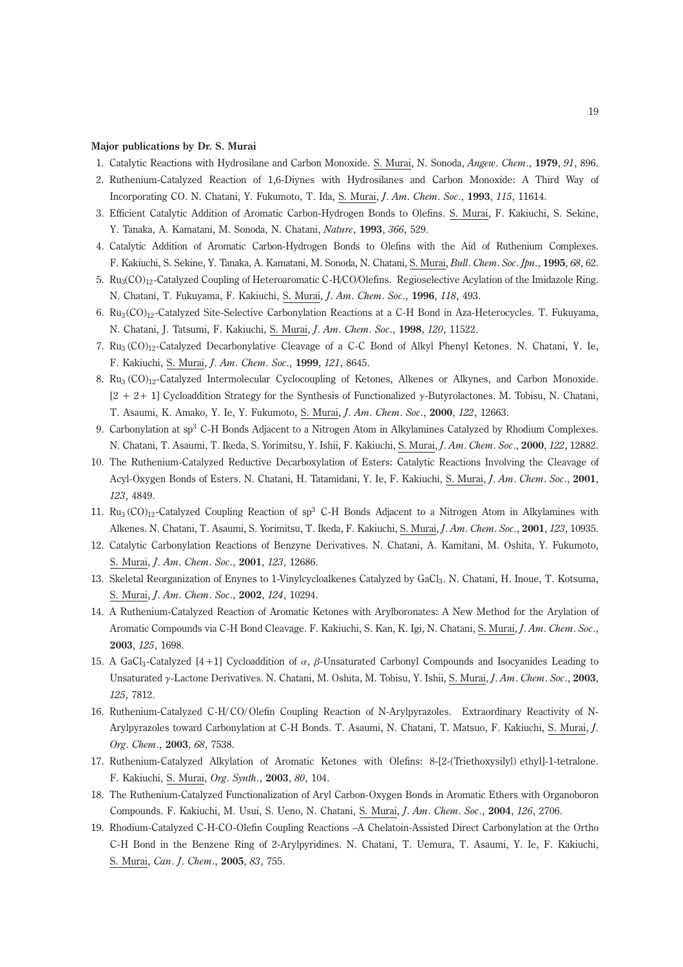## Major publications by Dr. S. Murai

- 1. Catalytic Reactions with Hydrosilane and Carbon Monoxide. S. Murai, N. Sonoda, Angew. Chem., 1979, 91, 896.
- 2. Ruthenium-Catalyzed Reaction of 1,6-Diynes with Hydrosilanes and Carbon Monoxide: A Third Way of Incorporating CO. N. Chatani, Y. Fukumoto, T. Ida, S. Murai, J. Am. Chem. Soc., 1993, 115, 11614.
- 3. Efficient Catalytic Addition of Aromatic Carbon-Hydrogen Bonds to Olefins. S. Murai, F. Kakiuchi, S. Sekine, Y. Tanaka, A. Kamatani, M. Sonoda, N. Chatani, Nature, 1993, 366, 529.
- 4. Catalytic Addition of Aromatic Carbon-Hydrogen Bonds to Olefins with the Aid of Ruthenium Complexes. F. Kakiuchi, S. Sekine, Y. Tanaka, A. Kamatani, M. Sonoda, N. Chatani, S. Murai, Bull. Chem. Soc. Jpn., 1995, 68, 62.
- 5. Ru3(CO)12-Catalyzed Coupling of Heteroaromatic C-H/CO/Olefins. Regioselective Acylation of the Imidazole Ring. N. Chatani, T. Fukuyama, F. Kakiuchi, S. Murai, J. Am. Chem. Soc., 1996, 118, 493.
- 6. Ru3(CO)12-Catalyzed Site-Selective Carbonylation Reactions at a C-H Bond in Aza-Heterocycles. T. Fukuyama, N. Chatani, J. Tatsumi, F. Kakiuchi, S. Murai, J. Am. Chem. Soc., 1998, 120, 11522.
- 7. Ru<sub>3</sub> (CO)<sub>12</sub>-Catalyzed Decarbonylative Cleavage of a C-C Bond of Alkyl Phenyl Ketones. N. Chatani, Y. Ie, F. Kakiuchi, S. Murai, J. Am. Chem. Soc., 1999, 121, 8645.
- 8. Ru<sub>3</sub> (CO)<sub>12</sub>-Catalyzed Intermolecular Cyclocoupling of Ketones, Alkenes or Alkynes, and Carbon Monoxide. [2 + 2+ 1] Cycloaddition Strategy for the Synthesis of Functionalized γ-Butyrolactones. M. Tobisu, N. Chatani, T. Asaumi, K. Amako, Y. Ie, Y. Fukumoto, S. Murai, J. Am. Chem. Soc., 2000, 122, 12663.
- 9. Carbonylation at sp<sup>3</sup> C-H Bonds Adjacent to a Nitrogen Atom in Alkylamines Catalyzed by Rhodium Complexes. N. Chatani, T. Asaumi, T. Ikeda, S. Yorimitsu, Y. Ishii, F. Kakiuchi, S. Murai, J. Am. Chem. Soc., 2000, 122, 12882.
- 10. The Ruthenium-Catalyzed Reductive Decarboxylation of Esters: Catalytic Reactions Involving the Cleavage of Acyl-Oxygen Bonds of Esters. N. Chatani, H. Tatamidani, Y. Ie, F. Kakiuchi, S. Murai, J. Am. Chem. Soc., 2001, 123, 4849.
- 11. Ru<sub>3</sub> (CO)<sub>12</sub>-Catalyzed Coupling Reaction of sp<sup>3</sup> C-H Bonds Adjacent to a Nitrogen Atom in Alkylamines with Alkenes. N. Chatani, T. Asaumi, S. Yorimitsu, T. Ikeda, F. Kakiuchi, S. Murai, J. Am. Chem. Soc., 2001, 123, 10935.
- 12. Catalytic Carbonylation Reactions of Benzyne Derivatives. N. Chatani, A. Kamitani, M. Oshita, Y. Fukumoto, S. Murai, J. Am. Chem. Soc., 2001, 123, 12686.
- 13. Skeletal Reorganization of Enynes to 1-Vinylcycloalkenes Catalyzed by GaCl<sub>3</sub>. N. Chatani, H. Inoue, T. Kotsuma, S. Murai, J. Am. Chem. Soc., 2002, 124, 10294.
- 14. A Ruthenium-Catalyzed Reaction of Aromatic Ketones with Arylboronates: A New Method for the Arylation of Aromatic Compounds via C-H Bond Cleavage. F. Kakiuchi, S. Kan, K. Igi, N. Chatani, S. Murai, J. Am. Chem. Soc., 2003, 125, 1698.
- 15. A GaCl<sub>3</sub>-Catalyzed [4+1] Cycloaddition of  $\alpha$ , β-Unsaturated Carbonyl Compounds and Isocyanides Leading to Unsaturated γ-Lactone Derivatives. N. Chatani, M. Oshita, M. Tobisu, Y. Ishii, S. Murai, J. Am. Chem. Soc., 2003, 125, 7812.
- 16. Ruthenium-Catalyzed C-H/ CO/ Olefin Coupling Reaction of N-Arylpyrazoles. Extraordinary Reactivity of N-Arylpyrazoles toward Carbonylation at C-H Bonds. T. Asaumi, N. Chatani, T. Matsuo, F. Kakiuchi, S. Murai, J. Org. Chem., 2003, 68, 7538.
- 17. Ruthenium-Catalyzed Alkylation of Aromatic Ketones with Olefins: 8-[2-(Triethoxysilyl) ethyl]-1-tetralone. F. Kakiuchi, S. Murai, Org. Synth., 2003, 80, 104.
- 18. The Ruthenium-Catalyzed Functionalization of Aryl Carbon-Oxygen Bonds in Aromatic Ethers with Organoboron Compounds. F. Kakiuchi, M. Usui, S. Ueno, N. Chatani, S. Murai, J. Am. Chem. Soc., 2004, 126, 2706.
- 19. Rhodium-Catalyzed C-H-CO-Olefin Coupling Reactions –A Chelatoin-Assisted Direct Carbonylation at the Ortho C-H Bond in the Benzene Ring of 2-Arylpyridines. N. Chatani, T. Uemura, T. Asaumi, Y. Ie, F. Kakiuchi, S. Murai, Can. J. Chem., 2005, 83, 755.